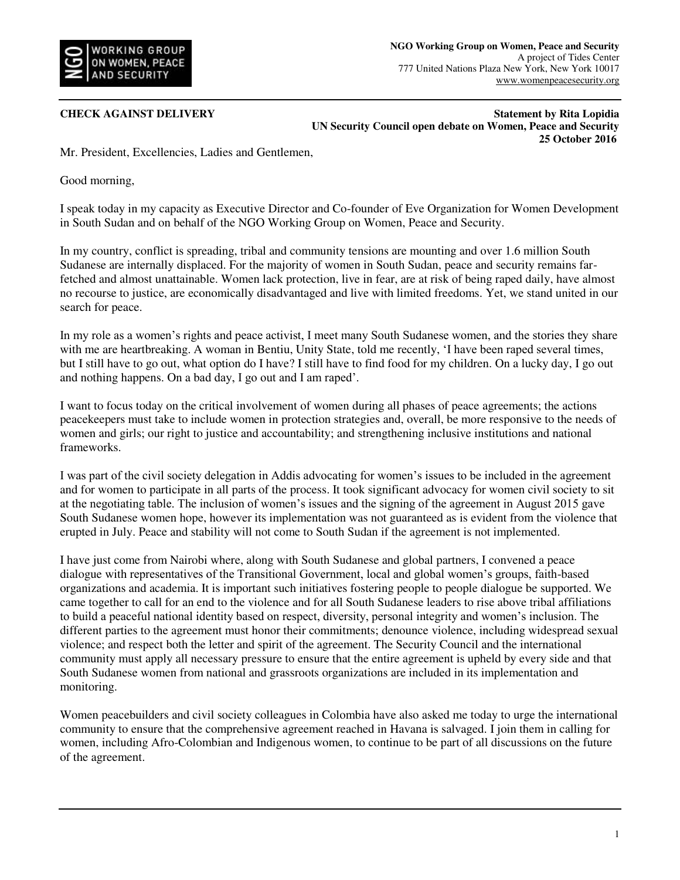

**CHECK AGAINST DELIVERY** Statement by Rita Lopidia **Statement by Rita Lopidia UN Security Council open debate on Women, Peace and Security 25 October 2016** 

Mr. President, Excellencies, Ladies and Gentlemen,

Good morning,

I speak today in my capacity as Executive Director and Co-founder of Eve Organization for Women Development in South Sudan and on behalf of the NGO Working Group on Women, Peace and Security.

In my country, conflict is spreading, tribal and community tensions are mounting and over 1.6 million South Sudanese are internally displaced. For the majority of women in South Sudan, peace and security remains farfetched and almost unattainable. Women lack protection, live in fear, are at risk of being raped daily, have almost no recourse to justice, are economically disadvantaged and live with limited freedoms. Yet, we stand united in our search for peace.

In my role as a women's rights and peace activist, I meet many South Sudanese women, and the stories they share with me are heartbreaking. A woman in Bentiu, Unity State, told me recently, 'I have been raped several times, but I still have to go out, what option do I have? I still have to find food for my children. On a lucky day, I go out and nothing happens. On a bad day, I go out and I am raped'.

I want to focus today on the critical involvement of women during all phases of peace agreements; the actions peacekeepers must take to include women in protection strategies and, overall, be more responsive to the needs of women and girls; our right to justice and accountability; and strengthening inclusive institutions and national frameworks.

I was part of the civil society delegation in Addis advocating for women's issues to be included in the agreement and for women to participate in all parts of the process. It took significant advocacy for women civil society to sit at the negotiating table. The inclusion of women's issues and the signing of the agreement in August 2015 gave South Sudanese women hope, however its implementation was not guaranteed as is evident from the violence that erupted in July. Peace and stability will not come to South Sudan if the agreement is not implemented.

I have just come from Nairobi where, along with South Sudanese and global partners, I convened a peace dialogue with representatives of the Transitional Government, local and global women's groups, faith-based organizations and academia. It is important such initiatives fostering people to people dialogue be supported. We came together to call for an end to the violence and for all South Sudanese leaders to rise above tribal affiliations to build a peaceful national identity based on respect, diversity, personal integrity and women's inclusion. The different parties to the agreement must honor their commitments; denounce violence, including widespread sexual violence; and respect both the letter and spirit of the agreement. The Security Council and the international community must apply all necessary pressure to ensure that the entire agreement is upheld by every side and that South Sudanese women from national and grassroots organizations are included in its implementation and monitoring.

Women peacebuilders and civil society colleagues in Colombia have also asked me today to urge the international community to ensure that the comprehensive agreement reached in Havana is salvaged. I join them in calling for women, including Afro-Colombian and Indigenous women, to continue to be part of all discussions on the future of the agreement.